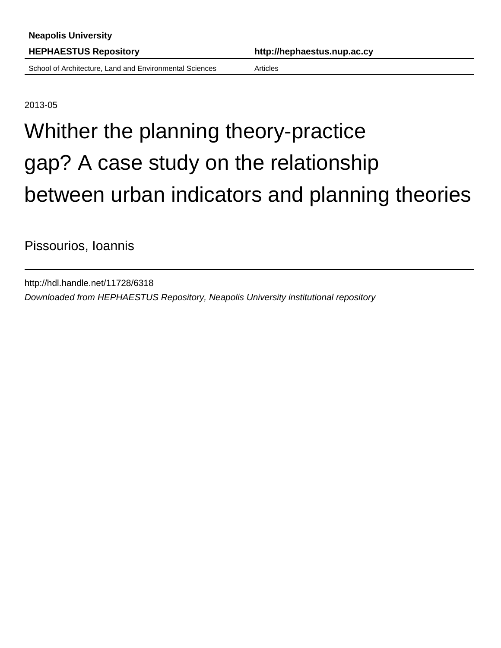School of Architecture, Land and Environmental Sciences Articles

**HEPHAESTUS Repository http://hephaestus.nup.ac.cy**

2013-05

# Whither the planning theory-practice gap? A case study on the relationship between urban indicators and planning theories

Pissourios, Ioannis

http://hdl.handle.net/11728/6318 Downloaded from HEPHAESTUS Repository, Neapolis University institutional repository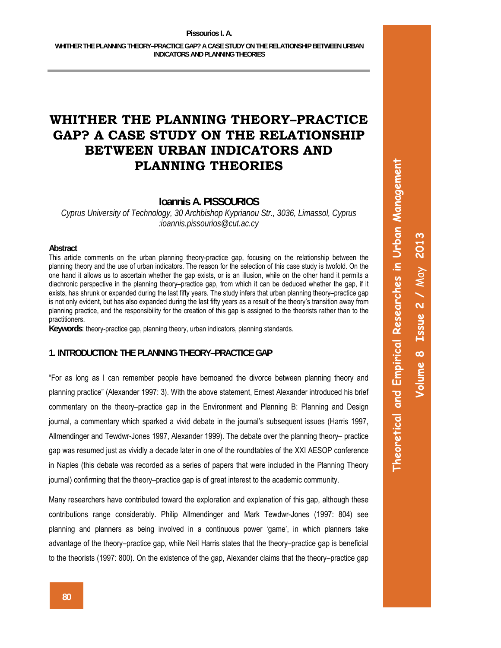# **Ioannis A. PISSOURIOS**

*Cyprus University of Technology, 30 Archbishop Kyprianou Str., 3036, Limassol, Cyprus :ioannis.pissourios@cut.ac.cy*

#### **Abstract**

This article comments on the urban planning theory-practice gap, focusing on the relationship between the planning theory and the use of urban indicators. The reason for the selection of this case study is twofold. On the one hand it allows us to ascertain whether the gap exists, or is an illusion, while on the other hand it permits a diachronic perspective in the planning theory–practice gap, from which it can be deduced whether the gap, if it exists, has shrunk or expanded during the last fifty years. The study infers that urban planning theory–practice gap is not only evident, but has also expanded during the last fifty years as a result of the theory's transition away from planning practice, and the responsibility for the creation of this gap is assigned to the theorists rather than to the practitioners.

**Keywords**: theory-practice gap, planning theory, urban indicators, planning standards.

# **1. INTRODUCTION: THE PLANNING THEORY–PRACTICE GAP**

"For as long as I can remember people have bemoaned the divorce between planning theory and planning practice" (Alexander 1997: 3). With the above statement, Ernest Alexander introduced his brief commentary on the theory–practice gap in the Environment and Planning B: Planning and Design journal, a commentary which sparked a vivid debate in the journal's subsequent issues (Harris 1997, Allmendinger and Tewdwr-Jones 1997, Alexander 1999). The debate over the planning theory– practice gap was resumed just as vividly a decade later in one of the roundtables of the XXI AESOP conference in Naples (this debate was recorded as a series of papers that were included in the Planning Theory journal) confirming that the theory–practice gap is of great interest to the academic community.

Many researchers have contributed toward the exploration and explanation of this gap, although these contributions range considerably. Philip Allmendinger and Mark Tewdwr-Jones (1997: 804) see planning and planners as being involved in a continuous power 'game', in which planners take advantage of the theory–practice gap, while Neil Harris states that the theory–practice gap is beneficial to the theorists (1997: 800). On the existence of the gap, Alexander claims that the theory–practice gap **Theoretical and Empirical Researches in Urban Management**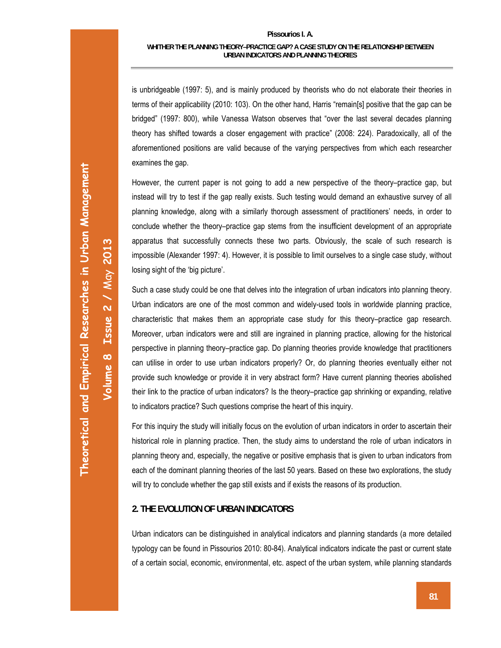#### **Pissourios I. A.**

#### **WHITHER THE PLANNING THEORY–PRACTICE GAP? A CASE STUDY ON THE RELATIONSHIP BETWEEN URBAN INDICATORS AND PLANNING THEORIES**

is unbridgeable (1997: 5), and is mainly produced by theorists who do not elaborate their theories in terms of their applicability (2010: 103). On the other hand, Harris "remain[s] positive that the gap can be bridged" (1997: 800), while Vanessa Watson observes that "over the last several decades planning theory has shifted towards a closer engagement with practice" (2008: 224). Paradoxically, all of the aforementioned positions are valid because of the varying perspectives from which each researcher examines the gap.

However, the current paper is not going to add a new perspective of the theory–practice gap, but instead will try to test if the gap really exists. Such testing would demand an exhaustive survey of all planning knowledge, along with a similarly thorough assessment of practitioners' needs, in order to conclude whether the theory–practice gap stems from the insufficient development of an appropriate apparatus that successfully connects these two parts. Obviously, the scale of such research is impossible (Alexander 1997: 4). However, it is possible to limit ourselves to a single case study, without losing sight of the 'big picture'.

Such a case study could be one that delves into the integration of urban indicators into planning theory. Urban indicators are one of the most common and widely-used tools in worldwide planning practice, characteristic that makes them an appropriate case study for this theory–practice gap research. Moreover, urban indicators were and still are ingrained in planning practice, allowing for the historical perspective in planning theory–practice gap. Do planning theories provide knowledge that practitioners can utilise in order to use urban indicators properly? Or, do planning theories eventually either not provide such knowledge or provide it in very abstract form? Have current planning theories abolished their link to the practice of urban indicators? Is the theory–practice gap shrinking or expanding, relative to indicators practice? Such questions comprise the heart of this inquiry.

For this inquiry the study will initially focus on the evolution of urban indicators in order to ascertain their historical role in planning practice. Then, the study aims to understand the role of urban indicators in planning theory and, especially, the negative or positive emphasis that is given to urban indicators from each of the dominant planning theories of the last 50 years. Based on these two explorations, the study will try to conclude whether the gap still exists and if exists the reasons of its production.

# **2. THE EVOLUTION OF URBAN INDICATORS**

Urban indicators can be distinguished in analytical indicators and planning standards (a more detailed typology can be found in Pissourios 2010: 80-84). Analytical indicators indicate the past or current state of a certain social, economic, environmental, etc. aspect of the urban system, while planning standards

**Volume 8 Issue 2 /** May **2013** 

Volume 8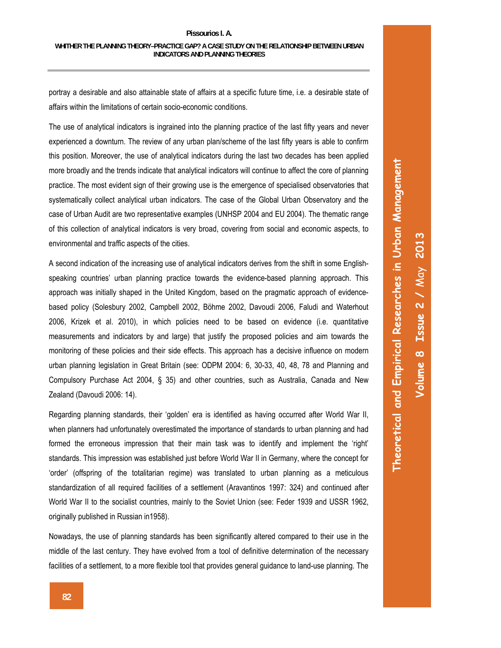portray a desirable and also attainable state of affairs at a specific future time, i.e. a desirable state of affairs within the limitations of certain socio-economic conditions.

The use of analytical indicators is ingrained into the planning practice of the last fifty years and never experienced a downturn. The review of any urban plan/scheme of the last fifty years is able to confirm this position. Moreover, the use of analytical indicators during the last two decades has been applied more broadly and the trends indicate that analytical indicators will continue to affect the core of planning practice. The most evident sign of their growing use is the emergence of specialised observatories that systematically collect analytical urban indicators. The case of the Global Urban Observatory and the case of Urban Audit are two representative examples (UNHSP 2004 and EU 2004). The thematic range of this collection of analytical indicators is very broad, covering from social and economic aspects, to environmental and traffic aspects of the cities.

A second indication of the increasing use of analytical indicators derives from the shift in some Englishspeaking countries' urban planning practice towards the evidence-based planning approach. This approach was initially shaped in the United Kingdom, based on the pragmatic approach of evidencebased policy (Solesbury 2002, Campbell 2002, Böhme 2002, Davoudi 2006, Faludi and Waterhout 2006, Krizek et al. 2010), in which policies need to be based on evidence (i.e. quantitative measurements and indicators by and large) that justify the proposed policies and aim towards the monitoring of these policies and their side effects. This approach has a decisive influence on modern urban planning legislation in Great Britain (see: ODPM 2004: 6, 30-33, 40, 48, 78 and Planning and Compulsory Purchase Act 2004, § 35) and other countries, such as Australia, Canada and New Zealand (Davoudi 2006: 14).

Regarding planning standards, their 'golden' era is identified as having occurred after World War II, when planners had unfortunately overestimated the importance of standards to urban planning and had formed the erroneous impression that their main task was to identify and implement the 'right' standards. This impression was established just before World War II in Germany, where the concept for 'order' (offspring of the totalitarian regime) was translated to urban planning as a meticulous standardization of all required facilities of a settlement (Aravantinos 1997: 324) and continued after World War II to the socialist countries, mainly to the Soviet Union (see: Feder 1939 and USSR 1962, originally published in Russian in1958).

Nowadays, the use of planning standards has been significantly altered compared to their use in the middle of the last century. They have evolved from a tool of definitive determination of the necessary facilities of a settlement, to a more flexible tool that provides general guidance to land-use planning. The

**Theoretical and Empirical Researches in Urban Management**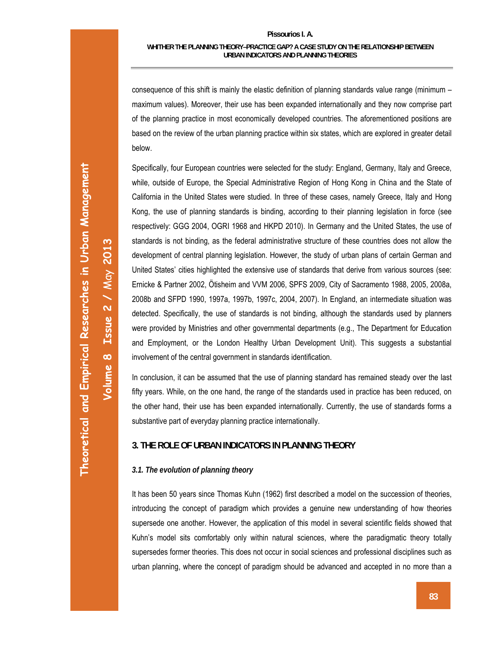consequence of this shift is mainly the elastic definition of planning standards value range (minimum – maximum values). Moreover, their use has been expanded internationally and they now comprise part of the planning practice in most economically developed countries. The aforementioned positions are based on the review of the urban planning practice within six states, which are explored in greater detail below.

Specifically, four European countries were selected for the study: England, Germany, Italy and Greece, while, outside of Europe, the Special Administrative Region of Hong Kong in China and the State of California in the United States were studied. In three of these cases, namely Greece, Italy and Hong Kong, the use of planning standards is binding, according to their planning legislation in force (see respectively: GGG 2004, OGRI 1968 and HKPD 2010). In Germany and the United States, the use of standards is not binding, as the federal administrative structure of these countries does not allow the development of central planning legislation. However, the study of urban plans of certain German and United States' cities highlighted the extensive use of standards that derive from various sources (see: Ernicke & Partner 2002, Ötisheim and VVM 2006, SPFS 2009, City of Sacramento 1988, 2005, 2008a, 2008b and SFPD 1990, 1997a, 1997b, 1997c, 2004, 2007). In England, an intermediate situation was detected. Specifically, the use of standards is not binding, although the standards used by planners were provided by Ministries and other governmental departments (e.g., The Department for Education and Employment, or the London Healthy Urban Development Unit). This suggests a substantial involvement of the central government in standards identification.

In conclusion, it can be assumed that the use of planning standard has remained steady over the last fifty years. While, on the one hand, the range of the standards used in practice has been reduced, on the other hand, their use has been expanded internationally. Currently, the use of standards forms a substantive part of everyday planning practice internationally.

# **3. THE ROLE OF URBAN INDICATORS IN PLANNING THEORY**

## *3.1. The evolution of planning theory*

It has been 50 years since Thomas Kuhn (1962) first described a model on the succession of theories, introducing the concept of paradigm which provides a genuine new understanding of how theories supersede one another. However, the application of this model in several scientific fields showed that Kuhn's model sits comfortably only within natural sciences, where the paradigmatic theory totally supersedes former theories. This does not occur in social sciences and professional disciplines such as urban planning, where the concept of paradigm should be advanced and accepted in no more than a

**Volume 8 Issue 2 /** May **2013** 

 $\infty$ 

Volume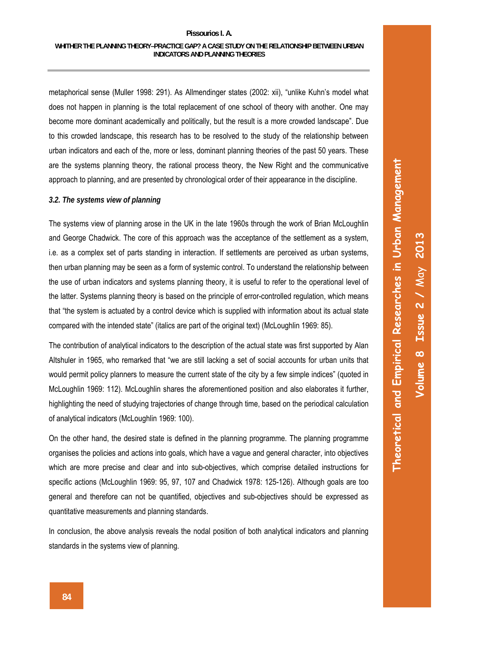#### **Pissourios I. A.**

metaphorical sense (Muller 1998: 291). As Allmendinger states (2002: xii), "unlike Kuhn's model what does not happen in planning is the total replacement of one school of theory with another. One may become more dominant academically and politically, but the result is a more crowded landscape". Due to this crowded landscape, this research has to be resolved to the study of the relationship between urban indicators and each of the, more or less, dominant planning theories of the past 50 years. These are the systems planning theory, the rational process theory, the New Right and the communicative approach to planning, and are presented by chronological order of their appearance in the discipline.

## *3.2. The systems view of planning*

The systems view of planning arose in the UK in the late 1960s through the work of Brian McLoughlin and George Chadwick. The core of this approach was the acceptance of the settlement as a system, i.e. as a complex set of parts standing in interaction. If settlements are perceived as urban systems, then urban planning may be seen as a form of systemic control. To understand the relationship between the use of urban indicators and systems planning theory, it is useful to refer to the operational level of the latter. Systems planning theory is based on the principle of error-controlled regulation, which means that "the system is actuated by a control device which is supplied with information about its actual state compared with the intended state" (italics are part of the original text) (McLoughlin 1969: 85).

The contribution of analytical indicators to the description of the actual state was first supported by Alan Altshuler in 1965, who remarked that "we are still lacking a set of social accounts for urban units that would permit policy planners to measure the current state of the city by a few simple indices" (quoted in McLoughlin 1969: 112). McLoughlin shares the aforementioned position and also elaborates it further, highlighting the need of studying trajectories of change through time, based on the periodical calculation of analytical indicators (McLoughlin 1969: 100).

On the other hand, the desired state is defined in the planning programme. The planning programme organises the policies and actions into goals, which have a vague and general character, into objectives which are more precise and clear and into sub-objectives, which comprise detailed instructions for specific actions (McLoughlin 1969: 95, 97, 107 and Chadwick 1978: 125-126). Although goals are too general and therefore can not be quantified, objectives and sub-objectives should be expressed as quantitative measurements and planning standards.

In conclusion, the above analysis reveals the nodal position of both analytical indicators and planning standards in the systems view of planning.

**Theoretical and Empirical Researches in Urban Management**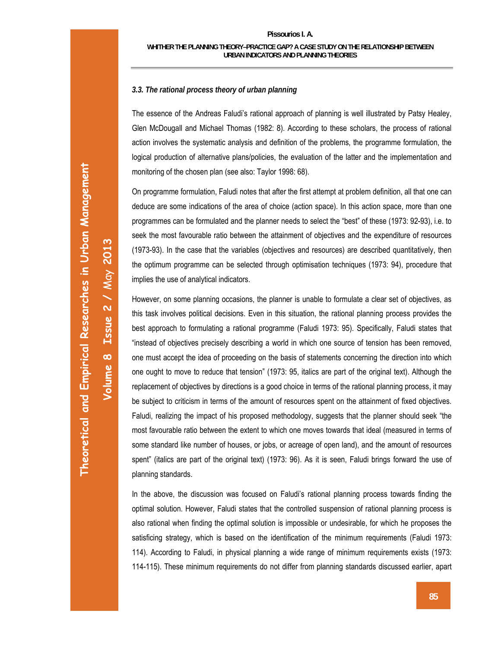**Volume 8 Issue 2 /** May **2013** 

Volume 8

Issue  $2 / May$  2013

# **WHITHER THE PLANNING THEORY–PRACTICE GAP? A CASE STUDY ON THE RELATIONSHIP BETWEEN URBAN INDICATORS AND PLANNING THEORIES**

# *3.3. The rational process theory of urban planning*

The essence of the Andreas Faludi's rational approach of planning is well illustrated by Patsy Healey, Glen McDougall and Michael Thomas (1982: 8). According to these scholars, the process of rational action involves the systematic analysis and definition of the problems, the programme formulation, the logical production of alternative plans/policies, the evaluation of the latter and the implementation and monitoring of the chosen plan (see also: Taylor 1998: 68).

On programme formulation, Faludi notes that after the first attempt at problem definition, all that one can deduce are some indications of the area of choice (action space). In this action space, more than one programmes can be formulated and the planner needs to select the "best" of these (1973: 92-93), i.e. to seek the most favourable ratio between the attainment of objectives and the expenditure of resources (1973-93). In the case that the variables (objectives and resources) are described quantitatively, then the optimum programme can be selected through optimisation techniques (1973: 94), procedure that implies the use of analytical indicators.

However, on some planning occasions, the planner is unable to formulate a clear set of objectives, as this task involves political decisions. Even in this situation, the rational planning process provides the best approach to formulating a rational programme (Faludi 1973: 95). Specifically, Faludi states that "instead of objectives precisely describing a world in which one source of tension has been removed, one must accept the idea of proceeding on the basis of statements concerning the direction into which one ought to move to reduce that tension" (1973: 95, italics are part of the original text). Although the replacement of objectives by directions is a good choice in terms of the rational planning process, it may be subject to criticism in terms of the amount of resources spent on the attainment of fixed objectives. Faludi, realizing the impact of his proposed methodology, suggests that the planner should seek "the most favourable ratio between the extent to which one moves towards that ideal (measured in terms of some standard like number of houses, or jobs, or acreage of open land), and the amount of resources spent" (italics are part of the original text) (1973: 96). As it is seen, Faludi brings forward the use of planning standards.

In the above, the discussion was focused on Faludi's rational planning process towards finding the optimal solution. However, Faludi states that the controlled suspension of rational planning process is also rational when finding the optimal solution is impossible or undesirable, for which he proposes the satisficing strategy, which is based on the identification of the minimum requirements (Faludi 1973: 114). According to Faludi, in physical planning a wide range of minimum requirements exists (1973: 114-115). These minimum requirements do not differ from planning standards discussed earlier, apart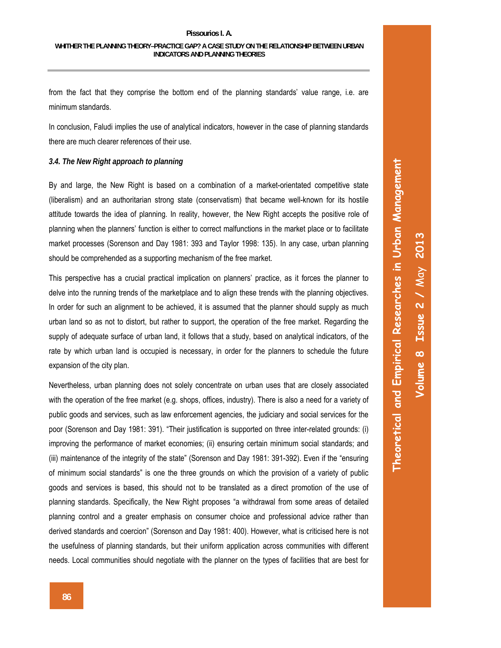from the fact that they comprise the bottom end of the planning standards' value range, i.e. are minimum standards.

In conclusion, Faludi implies the use of analytical indicators, however in the case of planning standards there are much clearer references of their use.

### *3.4. The New Right approach to planning*

By and large, the New Right is based on a combination of a market-orientated competitive state (liberalism) and an authoritarian strong state (conservatism) that became well-known for its hostile attitude towards the idea of planning. In reality, however, the New Right accepts the positive role of planning when the planners' function is either to correct malfunctions in the market place or to facilitate market processes (Sorenson and Day 1981: 393 and Taylor 1998: 135). In any case, urban planning should be comprehended as a supporting mechanism of the free market.

This perspective has a crucial practical implication on planners' practice, as it forces the planner to delve into the running trends of the marketplace and to align these trends with the planning objectives. In order for such an alignment to be achieved, it is assumed that the planner should supply as much urban land so as not to distort, but rather to support, the operation of the free market. Regarding the supply of adequate surface of urban land, it follows that a study, based on analytical indicators, of the rate by which urban land is occupied is necessary, in order for the planners to schedule the future expansion of the city plan.

Nevertheless, urban planning does not solely concentrate on urban uses that are closely associated with the operation of the free market (e.g. shops, offices, industry). There is also a need for a variety of public goods and services, such as law enforcement agencies, the judiciary and social services for the poor (Sorenson and Day 1981: 391). "Their justification is supported on three inter-related grounds: (i) improving the performance of market economies; (ii) ensuring certain minimum social standards; and (iii) maintenance of the integrity of the state" (Sorenson and Day 1981: 391-392). Even if the "ensuring of minimum social standards" is one the three grounds on which the provision of a variety of public goods and services is based, this should not to be translated as a direct promotion of the use of planning standards. Specifically, the New Right proposes "a withdrawal from some areas of detailed planning control and a greater emphasis on consumer choice and professional advice rather than derived standards and coercion" (Sorenson and Day 1981: 400). However, what is criticised here is not the usefulness of planning standards, but their uniform application across communities with different needs. Local communities should negotiate with the planner on the types of facilities that are best for

**Theoretical and Empirical Researches in Urban Management**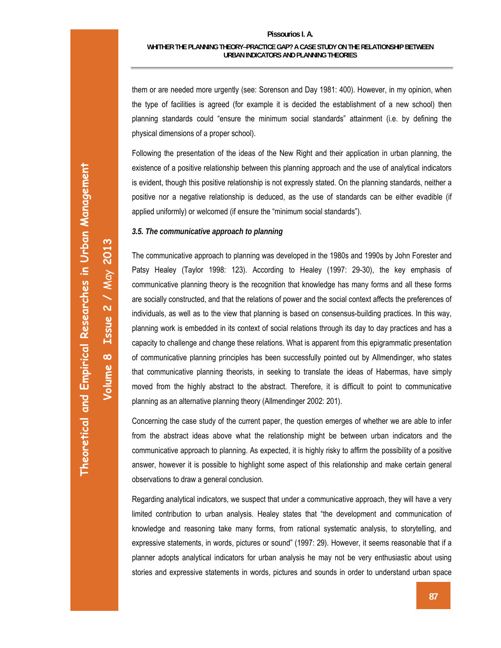them or are needed more urgently (see: Sorenson and Day 1981: 400). However, in my opinion, when the type of facilities is agreed (for example it is decided the establishment of a new school) then planning standards could "ensure the minimum social standards" attainment (i.e. by defining the physical dimensions of a proper school).

Following the presentation of the ideas of the New Right and their application in urban planning, the existence of a positive relationship between this planning approach and the use of analytical indicators is evident, though this positive relationship is not expressly stated. On the planning standards, neither a positive nor a negative relationship is deduced, as the use of standards can be either evadible (if applied uniformly) or welcomed (if ensure the "minimum social standards").

# *3.5. The communicative approach to planning*

The communicative approach to planning was developed in the 1980s and 1990s by John Forester and Patsy Healey (Taylor 1998: 123). According to Healey (1997: 29-30), the key emphasis of communicative planning theory is the recognition that knowledge has many forms and all these forms are socially constructed, and that the relations of power and the social context affects the preferences of individuals, as well as to the view that planning is based on consensus-building practices. In this way, planning work is embedded in its context of social relations through its day to day practices and has a capacity to challenge and change these relations. What is apparent from this epigrammatic presentation of communicative planning principles has been successfully pointed out by Allmendinger, who states that communicative planning theorists, in seeking to translate the ideas of Habermas, have simply moved from the highly abstract to the abstract. Therefore, it is difficult to point to communicative planning as an alternative planning theory (Allmendinger 2002: 201).

Concerning the case study of the current paper, the question emerges of whether we are able to infer from the abstract ideas above what the relationship might be between urban indicators and the communicative approach to planning. As expected, it is highly risky to affirm the possibility of a positive answer, however it is possible to highlight some aspect of this relationship and make certain general observations to draw a general conclusion.

Regarding analytical indicators, we suspect that under a communicative approach, they will have a very limited contribution to urban analysis. Healey states that "the development and communication of knowledge and reasoning take many forms, from rational systematic analysis, to storytelling, and expressive statements, in words, pictures or sound" (1997: 29). However, it seems reasonable that if a planner adopts analytical indicators for urban analysis he may not be very enthusiastic about using stories and expressive statements in words, pictures and sounds in order to understand urban space

**Volume 8 Issue 2 /** May **2013** 

Volume 8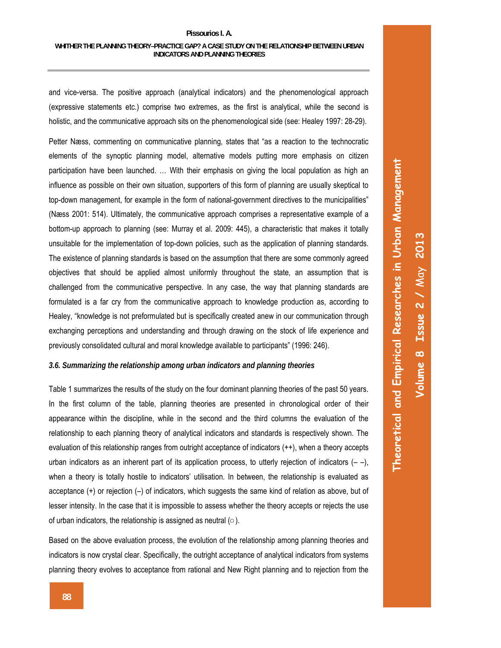and vice-versa. The positive approach (analytical indicators) and the phenomenological approach (expressive statements etc.) comprise two extremes, as the first is analytical, while the second is holistic, and the communicative approach sits on the phenomenological side (see: Healey 1997: 28-29).

Petter Næss, commenting on communicative planning, states that "as a reaction to the technocratic elements of the synoptic planning model, alternative models putting more emphasis on citizen participation have been launched. … With their emphasis on giving the local population as high an influence as possible on their own situation, supporters of this form of planning are usually skeptical to top-down management, for example in the form of national-government directives to the municipalities" (Næss 2001: 514). Ultimately, the communicative approach comprises a representative example of a bottom-up approach to planning (see: Murray et al. 2009: 445), a characteristic that makes it totally unsuitable for the implementation of top-down policies, such as the application of planning standards. The existence of planning standards is based on the assumption that there are some commonly agreed objectives that should be applied almost uniformly throughout the state, an assumption that is challenged from the communicative perspective. In any case, the way that planning standards are formulated is a far cry from the communicative approach to knowledge production as, according to Healey, "knowledge is not preformulated but is specifically created anew in our communication through exchanging perceptions and understanding and through drawing on the stock of life experience and previously consolidated cultural and moral knowledge available to participants" (1996: 246).

### *3.6. Summarizing the relationship among urban indicators and planning theories*

Table 1 summarizes the results of the study on the four dominant planning theories of the past 50 years. In the first column of the table, planning theories are presented in chronological order of their appearance within the discipline, while in the second and the third columns the evaluation of the relationship to each planning theory of analytical indicators and standards is respectively shown. The evaluation of this relationship ranges from outright acceptance of indicators (++), when a theory accepts urban indicators as an inherent part of its application process, to utterly rejection of indicators  $(-)$ , when a theory is totally hostile to indicators' utilisation. In between, the relationship is evaluated as acceptance (+) or rejection (–) of indicators, which suggests the same kind of relation as above, but of lesser intensity. In the case that it is impossible to assess whether the theory accepts or rejects the use of urban indicators, the relationship is assigned as neutral (○).

Based on the above evaluation process, the evolution of the relationship among planning theories and indicators is now crystal clear. Specifically, the outright acceptance of analytical indicators from systems planning theory evolves to acceptance from rational and New Right planning and to rejection from the **Theoretical and Empirical Researches in Urban Management**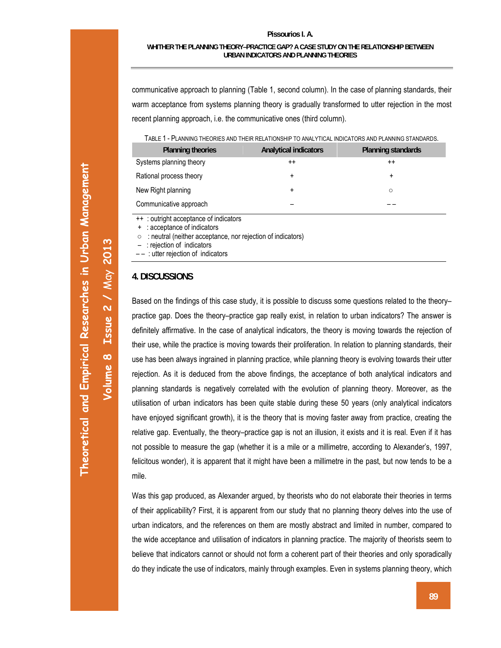communicative approach to planning (Table 1, second column). In the case of planning standards, their warm acceptance from systems planning theory is gradually transformed to utter rejection in the most recent planning approach, i.e. the communicative ones (third column).

|  | TABLE 1 - PLANNING THEORIES AND THEIR RELATIONSHIP TO ANALYTICAL INDICATORS AND PLANNING STANDARDS. |
|--|-----------------------------------------------------------------------------------------------------|
|--|-----------------------------------------------------------------------------------------------------|

| <b>Planning theories</b> | <b>Analytical indicators</b> | Planning standards |
|--------------------------|------------------------------|--------------------|
| Systems planning theory  | $^{++}$                      | $^{\mathrm{+}}$    |
| Rational process theory  | ٠                            | ٠                  |
| New Right planning       | +                            | $\circ$            |
| Communicative approach   |                              |                    |

: outright acceptance of indicators

: acceptance of indicators

○ : neutral (neither acceptance, nor rejection of indicators)

– : rejection of indicators

– – : utter rejection of indicators

#### **4. DISCUSSIONS**

Based on the findings of this case study, it is possible to discuss some questions related to the theory– practice gap. Does the theory–practice gap really exist, in relation to urban indicators? The answer is definitely affirmative. In the case of analytical indicators, the theory is moving towards the rejection of their use, while the practice is moving towards their proliferation. In relation to planning standards, their use has been always ingrained in planning practice, while planning theory is evolving towards their utter rejection. As it is deduced from the above findings, the acceptance of both analytical indicators and planning standards is negatively correlated with the evolution of planning theory. Moreover, as the utilisation of urban indicators has been quite stable during these 50 years (only analytical indicators have enjoyed significant growth), it is the theory that is moving faster away from practice, creating the relative gap. Eventually, the theory–practice gap is not an illusion, it exists and it is real. Even if it has not possible to measure the gap (whether it is a mile or a millimetre, according to Alexander's, 1997, felicitous wonder), it is apparent that it might have been a millimetre in the past, but now tends to be a mile.

Was this gap produced, as Alexander argued, by theorists who do not elaborate their theories in terms of their applicability? First, it is apparent from our study that no planning theory delves into the use of urban indicators, and the references on them are mostly abstract and limited in number, compared to the wide acceptance and utilisation of indicators in planning practice. The majority of theorists seem to believe that indicators cannot or should not form a coherent part of their theories and only sporadically do they indicate the use of indicators, mainly through examples. Even in systems planning theory, which

**Volume 8 Issue 2 /** May **2013** 

Volume 8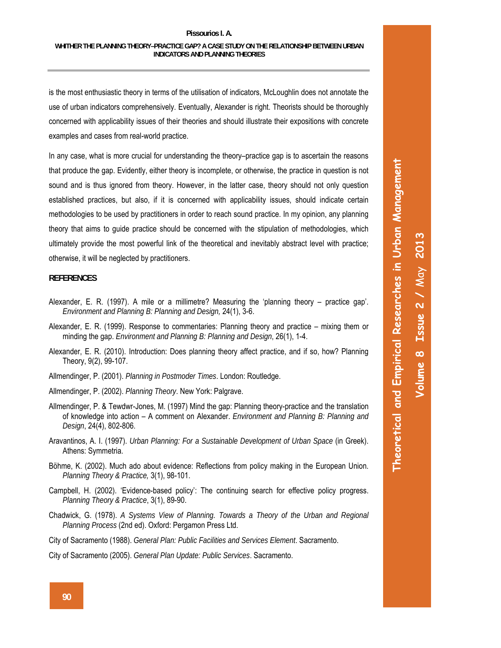is the most enthusiastic theory in terms of the utilisation of indicators, McLoughlin does not annotate the use of urban indicators comprehensively. Eventually, Alexander is right. Theorists should be thoroughly concerned with applicability issues of their theories and should illustrate their expositions with concrete examples and cases from real-world practice.

In any case, what is more crucial for understanding the theory–practice gap is to ascertain the reasons that produce the gap. Evidently, either theory is incomplete, or otherwise, the practice in question is not sound and is thus ignored from theory. However, in the latter case, theory should not only question established practices, but also, if it is concerned with applicability issues, should indicate certain methodologies to be used by practitioners in order to reach sound practice. In my opinion, any planning theory that aims to guide practice should be concerned with the stipulation of methodologies, which ultimately provide the most powerful link of the theoretical and inevitably abstract level with practice; otherwise, it will be neglected by practitioners.

#### **REFERENCES**

- Alexander, E. R. (1997). A mile or a millimetre? Measuring the 'planning theory practice gap'. *Environment and Planning B: Planning and Design,* 24(1), 3-6.
- Alexander, E. R. (1999). Response to commentaries: Planning theory and practice mixing them or minding the gap. *Environment and Planning B: Planning and Design*, 26(1), 1-4.
- Alexander, E. R. (2010). Introduction: Does planning theory affect practice, and if so, how? Planning Theory, 9(2), 99-107.
- Allmendinger, P. (2001). *Planning in Postmoder Times*. London: Routledge.
- Allmendinger, P. (2002). *Planning Theory*. New York: Palgrave.
- Allmendinger, P. & Tewdwr-Jones, M. (1997) Mind the gap: Planning theory-practice and the translation of knowledge into action – A comment on Alexander. *Environment and Planning B: Planning and Design*, 24(4), 802-806.
- Aravantinos, A. I. (1997). *Urban Planning: For a Sustainable Development of Urban Space* (in Greek). Athens: Symmetria.
- Böhme, K. (2002). Much ado about evidence: Reflections from policy making in the European Union. *Planning Theory & Practice,* 3(1), 98-101.
- Campbell, H. (2002). 'Evidence-based policy': The continuing search for effective policy progress. *Planning Theory & Practice*, 3(1), 89-90.
- Chadwick, G. (1978). *A Systems View of Planning. Towards a Theory of the Urban and Regional Planning Process* (2nd ed). Oxford: Pergamon Press Ltd.
- City of Sacramento (1988). *General Plan: Public Facilities and Services Element*. Sacramento.

City of Sacramento (2005). *General Plan Update: Public Services*. Sacramento.

**Theoretical and Empirical Researches in Urban Management**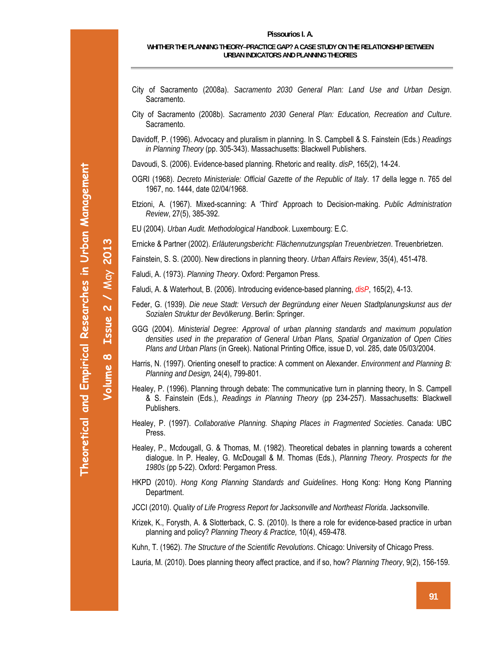- City of Sacramento (2008a). *Sacramento 2030 General Plan: Land Use and Urban Design*. Sacramento.
- City of Sacramento (2008b). *Sacramento 2030 General Plan: Education, Recreation and Culture*. Sacramento.
- Davidoff, P. (1996). Advocacy and pluralism in planning. In S. Campbell & S. Fainstein (Eds.) *Readings in Planning Theory* (pp. 305-343). Massachusetts: Blackwell Publishers.
- Davoudi, S. (2006). Evidence-based planning. Rhetoric and reality. *disP*, 165(2), 14-24.
- OGRI (1968). *Decreto Ministeriale: Official Gazette of the Republic of Italy*. 17 della legge n. 765 del 1967, no. 1444, date 02/04/1968.
- Etzioni, A. (1967). Mixed-scanning: A 'Third' Approach to Decision-making. *Public Administration Review*, 27(5), 385-392.
- EU (2004). *Urban Audit. Methodological Handbook*. Luxembourg: E.C.

Ernicke & Partner (2002). *Erläuterungsbericht: Flächennutzungsplan Treuenbrietzen*. Treuenbrietzen.

- Fainstein, S. S. (2000). New directions in planning theory. *Urban Affairs Review*, 35(4), 451-478.
- Faludi, A. (1973). *Planning Theory*. Oxford: Pergamon Press.
- Faludi, A. & Waterhout, B. (2006). Introducing evidence-based planning, *disP*, 165(2), 4-13.
- Feder, G. (1939). *Die neue Stadt: Versuch der Begründung einer Neuen Stadtplanungskunst aus der Sozialen Struktur der Bevölkerung*. Berlin: Springer.
- GGG (2004). *Ministerial Degree: Approval of urban planning standards and maximum population densities used in the preparation of General Urban Plans, Spatial Organization of Open Cities Plans and Urban Plans* (in Greek). National Printing Office, issue D, vol. 285, date 05/03/2004.
- Harris, N. (1997). Orienting oneself to practice: A comment on Alexander. *Environment and Planning B: Planning and Design,* 24(4), 799-801.
- Healey, P. (1996). Planning through debate: The communicative turn in planning theory, In S. Campell & S. Fainstein (Eds.), *Readings in Planning Theory* (pp 234-257). Massachusetts: Blackwell Publishers.
- Healey, P. (1997). *Collaborative Planning. Shaping Places in Fragmented Societies*. Canada: UBC Press.
- Healey, P., Mcdougall, G. & Thomas, M. (1982). Theoretical debates in planning towards a coherent dialogue. In P. Healey, G. McDougall & M. Thomas (Eds.), *Planning Theory. Prospects for the 1980s* (pp 5-22). Oxford: Pergamon Press.
- HKPD (2010). *Hong Kong Planning Standards and Guidelines*. Hong Kong: Hong Kong Planning Department.

JCCI (2010). *Quality of Life Progress Report for Jacksonville and Northeast Florida*. Jacksonville.

Krizek, K., Forysth, A. & Slotterback, C. S. (2010). Is there a role for evidence-based practice in urban planning and policy? *Planning Theory & Practice,* 10(4), 459-478.

Kuhn, T. (1962). *The Structure of the Scientific Revolutions*. Chicago: University of Chicago Press.

Lauria, M. (2010). Does planning theory affect practice, and if so, how? *Planning Theory*, 9(2), 156-159.

**Volume 8 Issue 2 /** May **2013** 

 $\infty$ 

Volume